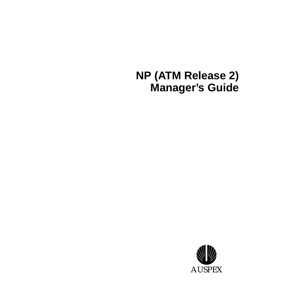# **NP (ATM Release 2) Manager's Guide**

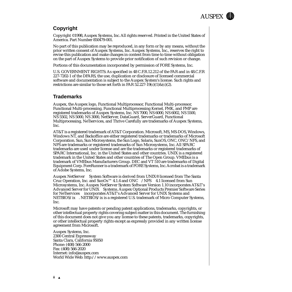

## **Copyright**

Copyright ©1998, Auspex Systems, Inc. All rights reserved. Printed in the United States of America. Part Number 850479-001.

No part of this publication may be reproduced, in any form or by any means, without the prior written consent of Auspex Systems, Inc. Auspex Systems, Inc., reserves the right to revise this publication and make changes in content from time to time without obligation on the part of Auspex Systems to provide prior notification of such revision or change.

Portions of this documentation incorporated by permission of FORE Systems, Inc.

U.S. GOVERNMENT RIGHTS: As specified in 48 C.F.R.12.212 of the FAR and in 48.C.F.R 227-7202-1 of the DFARS, the use, duplication or disclosure of licensed commercial software and documentation is subject to the Auspex System's license. Such rights and restrictions are similar to those set forth in FAR  $52.227-19(c)(1)$ &(c)(2).

## **Trademarks**

Auspex, the Auspex logo, Functional Multiprocessor, Functional Multi-processor, Functional Multi-processing, Functional Multiprocessing Kernel, FMK, and FMP are registered trademarks of Auspex Systems, Inc. NS 7000, NS 6000, NS 6002, NS 5500, NS 5502, NS 5000, NS 3000, NetServer, DataGuard, ServerGuard, Functional Multiprocessing, NeTservices, and Thrive Carefully are trademarks of Auspex Systems, Inc.

AT&T is a registered trademark of AT&T Corporation. Microsoft, MS, MS-DOS, Windows, Windows NT, and Backoffice are either registered trademarks or trademarks of Microsoft Corporation. Sun, Sun Microsystems, the Sun Logo, Solaris, SunOS, ONC, ONC/NFS, and NFS are trademarks or registered trademarks of Sun Microsystems, Inc. All SPARC trademarks are used under license and are the trademarks or registered trademarks of SPARC International, Inc. in the United States and other countries. UNIX is a registered trademark in the United States and other countries of The Open Group. VMEbus is a trademark of VMEbus Manufacturers Group. DEC and VT 510 are trademarks of Digital Equipment Corp. ForeRunner is a trademark of FORE Systems, Inc. Acrobat is a trademark of Adobe Systems, Inc.

Auspex NetServer<sup>™</sup> System Software is derived from UNIX<sup>®</sup> licensed from The Santa Cruz Operation, Inc. and SunOs<sup>TM</sup> 4.1.4 and ONC<sup>TM</sup>/NFS<sup>TM</sup> 4.1 licensed from Sun Microsystems, Inc. Auspex NetServer System Software Version 1.10 incorporates AT&T's Advanced Server for UNIX<sup>®</sup> Systems. Auspex Optional Products Premier Software Series for NeTservices<sup> $TM$ </sup> incorporates AT&T's Advanced Server for UNIX Systems and NETBIOS/ix™. NETBIOS/ix is a registered U.S. trademark of Micro Computer Systems, Inc.

Microsoft may have patents or pending patent applications, trademarks, copyrights, or other intellectual property rights covering subject matter in this document. The furnishing of this document does not give you any license to these patents, trademarks, copyrights, or other intellectual property rights except as expressly provided in any written license agreement from Microsoft.

Auspex Systems, Inc. 2300 Central Expressway Santa Clara, California 95050 Phone: (408) 566-2000 Fax: (408) 566-2020 Internet: info@auspex.com World Wide Web: http://www.auspex.com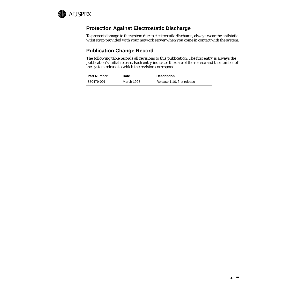

## **Protection Against Electrostatic Discharge**

To prevent damage to the system due to electrostatic discharge, always wear the antistatic wrist strap provided with your network server when you come in contact with the system.

## **Publication Change Record**

The following table records all revisions to this publication. The first entry is always the publication's initial release. Each entry indicates the date of the release and the number of the system release to which the revision corresponds.

| <b>Part Number</b> | Date       | <b>Description</b>          |
|--------------------|------------|-----------------------------|
| 850479-001         | March 1998 | Release 1.10, first release |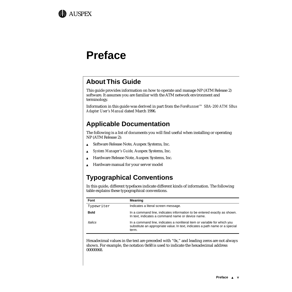

# **Preface**

## **About This Guide**

This guide provides information on how to operate and manage NP (ATM Release 2) software. It assumes you are familiar with the ATM network environment and terminology.

Information in this guide was derived in part from the *ForeRunner™ SBA-200 ATM SBus Adapter User's Manual* dated March 1996.

## **Applicable Documentation**

The following is a list of documents you will find useful when installing or operating NP (ATM Release 2):

- ▲ Software Release Note, Auspex Systems, Inc.
- ▲ *System Manager's Guide,* Auspex Systems, Inc.
- ▲ Hardware Release Note, Auspex Systems, Inc.
- ▲ Hardware manual for your server model

# **Typographical Conventions**

In this guide, different typefaces indicate different kinds of information. The following table explains these typographical conventions.

| Font           | <b>Meaning</b>                                                                                                                                                    |
|----------------|-------------------------------------------------------------------------------------------------------------------------------------------------------------------|
| Typewriter     | Indicates a literal screen message.                                                                                                                               |
| <b>Bold</b>    | In a command line, indicates information to be entered exactly as shown.<br>In text, indicates a command name or device name.                                     |
| <i>Italics</i> | In a command line, indicates a nonliteral item or variable for which you<br>substitute an appropriate value. In text, indicates a path name or a special<br>term. |

Hexadecimal values in the text are preceded with "0x," and leading zeros are not always shown. For example, the notation 0x68 is used to indicate the hexadecimal address 00000068.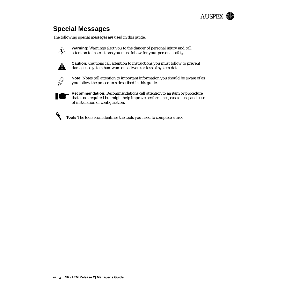

## **Special Messages**

The following special messages are used in this guide:



**Warning:** Warnings alert you to the danger of personal injury and call attention to instructions you must follow for your personal safety.



**Caution:** Cautions call attention to instructions you must follow to prevent damage to system hardware or software or loss of system data.



**Note:** Notes call attention to important information you should be aware of as you follow the procedures described in this guide.



**Recommendation:** Recommendations call attention to an item or procedure that is not required but might help improve performance, ease of use, and ease of installation or configuration.



**Tools** The tools icon identifies the tools you need to complete a task.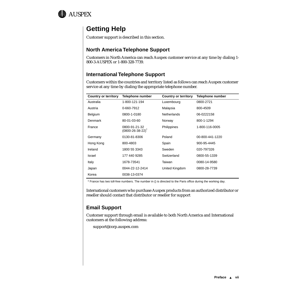

# **Getting Help**

Customer support is described in this section.

## **North America Telephone Support**

Customers in North America can reach Auspex customer service at any time by dialing 1- 800-3-AUSPEX or 1-800-328-7739.

## **International Telephone Support**

Customers within the countries and territory listed as follows can reach Auspex customer service at any time by dialing the appropriate telephone number.

| <b>Country or territory</b> | Telephone number                             | <b>Country or territory</b> | Telephone number |
|-----------------------------|----------------------------------------------|-----------------------------|------------------|
| Australia                   | 1-800-121-194                                | Luxembourg                  | 0800-2721        |
| Austria                     | 0-660-7912                                   | Malaysia                    | 800-4509         |
| Belgium                     | 0800-1-0180                                  | <b>Netherlands</b>          | 06-0222158       |
| Denmark                     | 80-01-03-60                                  | Norway                      | 800-1-1294       |
| France                      | 0800-91-21-32<br>$(0800 - 26 - 38 - 22)^{*}$ | <b>Philippines</b>          | 1-800-116-0005   |
| Germany                     | 0130-81-8306                                 | Poland                      | 00-800-441-1220  |
| Hong Kong                   | 800-4803                                     | Spain                       | 900-95-4445      |
| Ireland                     | 1800 55 3343                                 | Sweden                      | 020-797326       |
| Israel                      | 177 440 9285                                 | Switzerland                 | 0800-55-1339     |
| Italy                       | 1678-73541                                   | Taiwan                      | 0080-14-9580     |
| Japan                       | 0044-22-12-2414                              | United Kingdom              | 0800-28-7739     |
| Korea                       | 0038-13-0374                                 |                             |                  |

\* France has two toll-free numbers. The number in () is directed to the Paris office during the working day.

International customers who purchase Auspex products from an authorized distributor or reseller should contact that distributor or reseller for support

## **Email Support**

Customer support through email is available to both North America and International customers at the following address:

support@corp.auspex.com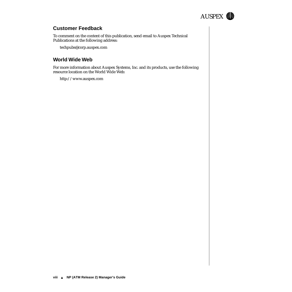

## **Customer Feedback**

To comment on the content of this publication, send email to Auspex Technical Publications at the following address:

techpubs@corp.auspex.com

## **World Wide Web**

For more information about Auspex Systems, Inc. and its products, use the following resource location on the World Wide Web:

http://www.auspex.com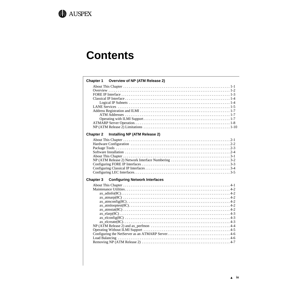

# **Contents**

|                  | Chapter 1 Overview of NP (ATM Release 2) |
|------------------|------------------------------------------|
|                  |                                          |
| <b>Chapter 2</b> | <b>Installing NP (ATM Release 2)</b>     |
|                  |                                          |
| <b>Chapter 3</b> | <b>Configuring Network Interfaces</b>    |
|                  |                                          |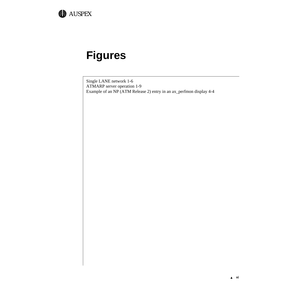

# **Figures**

[Single LANE network 1-6](#page-19-0) [ATMARP server operation 1-9](#page-22-0) [Example of an NP \(ATM Release 2\) entry in an ax\\_perfmon display 4-4](#page-39-0)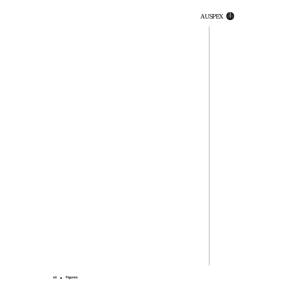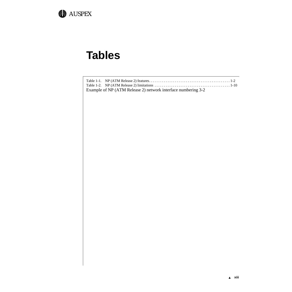

# **Tables**

| Example of NP (ATM Release 2) network interface numbering 3-2 |  |
|---------------------------------------------------------------|--|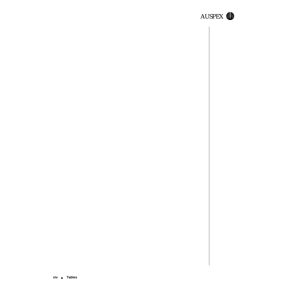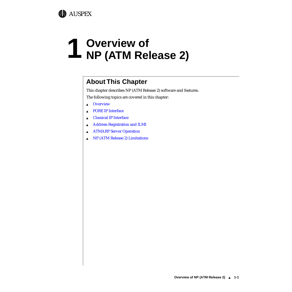<span id="page-14-0"></span>

# **1 Overview of NP (ATM Release 2)**

## **About This Chapter**

This chapter describes NP (ATM Release 2) software and features.

The following topics are covered in this chapter:

- ▲ [Overview](#page-15-0)
- ▲ [FORE IP Interface](#page-16-0)
- ▲ [Classical IP Interface](#page-17-0)
- ▲ [Address Registration and ILMI](#page-20-0)
- **A [ATMARP Server Operation](#page-21-0)**
- ▲ [NP \(ATM Release 2\) Limitations](#page-23-0)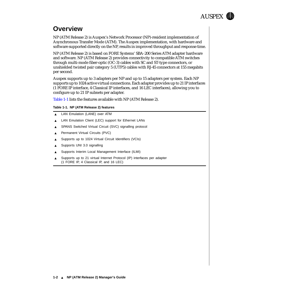

## <span id="page-15-0"></span>**Overview**

NP (ATM Release 2) is Auspex's Network Processor (NP)-resident implementation of Asynchronous Transfer Mode (ATM). The Auspex implementation, with hardware and software supported directly on the NP, results in improved throughput and response time.

NP (ATM Release 2) is based on FORE Systems' SBA-200 Series ATM adapter hardware and software. NP (ATM Release 2) provides connectivity to compatible ATM switches through multi-mode fiber-optic (OC-3) cables with SC and ST-type connectors, or unshielded twisted pair category 5 (UTP5) cables with RJ-45 connectors at 155 megabits per second.

Auspex supports up to 3 adapters per NP and up to 15 adapters per system. Each NP supports up to 1024 active virtual connections. Each adapter provides up to 21 IP interfaces (1 FORE IP interface, 4 Classical IP interfaces, and 16 LEC interfaces), allowing you to configure up to 21 IP subnets per adapter.

Table 1-1 lists the features available with NP (ATM Release 2).

#### **Table 1-1. NP (ATM Release 2) features**

- ▲ LAN Emulation (LANE) over ATM
- ▲ LAN Emulation Client (LEC) support for Ethernet LANs
- ▲ SPANS Switched Virtual Circuit (SVC) signalling protocol
- ▲ Permanent Virtual Circuits (PVC)
- ▲ Supports up to 1024 Virtual Circuit Identifiers (VCIs)
- ▲ Supports UNI 3.0 signalling
- ▲ Supports Interim Local Management Interface (ILMI)
- ▲ Supports up to 21 virtual Internet Protocol (IP) interfaces per adapter (1 FORE IP, 4 Classical IP, and 16 LEC)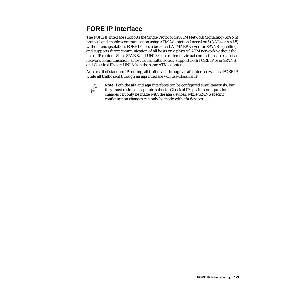# <span id="page-16-0"></span>**FORE IP Interface**

The FORE IP interface supports the Single Protocol for ATM Network Signalling (SPANS) protocol and enables communication using ATM Adaptation Layer 4 or 5 (AAL4 or AAL5) without encapsulation. FORE IP uses a broadcast ATMARP server for SPANS signalling and supports direct communication of all hosts on a physical ATM network without the use of IP routers. Since SPANS and UNI 3.0 use different virtual connections to establish network communication, a host can simultaneously support both FORE IP over SPANS and Classical IP over UNI 3.0 on the same ATM adapter.

As a result of standard IP routing, all traffic sent through an **afa** interface will use FORE IP, while all traffic sent through an **aqa** interface will use Classical IP.



**Note:** Both the **afa** and **aqa** interfaces can be configured simultaneously, but they must reside on separate subnets. Classical IP specific configuration changes can only be made with the **aqa** devices, while SPANS specific configuration changes can only be made with **afa** devices.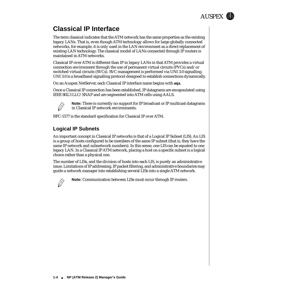

# <span id="page-17-0"></span>**Classical IP Interface**

The term classical indicates that the ATM network has the same properties as the existing legacy LANs. That is, even though ATM technology allows for large globally connected networks, for example, it is only used in the LAN environment as a direct replacement of existing LAN technology. The classical model of LANs connected through IP routers is maintained in ATM networks.

Classical IP over ATM is different than IP in legacy LANs in that ATM provides a virtual connection environment through the use of permanent virtual circuits (PVCs) and/or switched virtual circuits (SVCs). SVC management is performed via UNI 3.0 signalling. UNI 3.0 is a broadband signalling protocol designed to establish connections dynamically.

On an Auspex NetServer, each Classical IP interface name begins with **aqa**.

Once a Classical IP connection has been established, IP datagrams are encapsulated using IEEE 802.3 LLC/SNAP and are segmented into ATM cells using AALS.



**Note:** There is currently no support for IP broadcast or IP multicast datagrams in Classical IP network environments.

RFC-1577 is the standard specification for Classical IP over ATM.

## **Logical IP Subnets**

An important concept in Classical IP networks is that of a Logical IP Subnet (LIS). An LIS is a group of hosts configured to be members of the same IP subnet (that is, they have the same IP network and subnetwork numbers). In this sense, one LIS can be equated to one legacy LAN. In a Classical IP ATM network, placing a host on a specific subnet is a logical choice rather than a physical one.

The number of LISs, and the division of hosts into each LIS, is purely an administrative issue. Limitations of IP addressing, IP packet filtering, and administrative boundaries may guide a network manager into establishing several LISs into a single ATM network.



**Note:** Communication between LISs must occur through IP routers.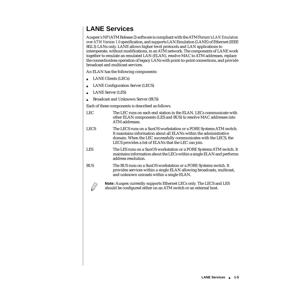# <span id="page-18-0"></span>**LANE Services**

Auspex's NP (ATM Release 2) software is compliant with the ATM Forum's *LAN Emulation over ATM Version 1.0* specification, and supports LAN Emulation (LANE) of Ethernet (IEEE 802.3) LANs only. LANE allows higher level protocols and LAN applications to interoperate, without modifications, in an ATM network. The components of LANE work together to emulate an emulated LAN (ELAN), resolve MAC to ATM addresses, replace the connectionless operation of legacy LANs with point-to-point connections, and provide broadcast and multicast services.

An ELAN has the following components:

- LANE Clients (LECs)
- **LANE Configuration Server (LECS)**
- ▲ LANE Server (LES)
- **Broadcast and Unknown Server (BUS)**

Each of these components is described as follows.

- LEC The LEC runs on each end station in the ELAN. LECs communicate with other ELAN components (LES and BUS) to resolve MAC addresses into ATM addresses.
- LECS The LECS runs on a SunOS workstation or a FORE Systems ATM switch. It maintains information about all ELANs within the administrative domain. When the LEC successfully communicates with the LECS, the LECS provides a list of ELANs that the LEC can join.
- LES The LES runs on a SunOS workstation or a FORE Systems ATM switch. It maintains information about the LECs within a single ELAN and performs address resolution.
- BUS The BUS runs on a SunOS workstation or a FORE Systems switch. It provides services within a single ELAN allowing broadcasts, multicast, and unknown unicasts within a single ELAN.



**Note:** Auspex currently supports Ethernet LECs only. The LECS and LES should be configured either on an ATM switch or an external host.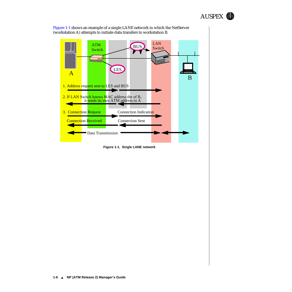



<span id="page-19-0"></span>Figure 1-1 shows an example of a single LANE network in which the NetServer (workstation A) attempts to initiate data transfers to workstation B.

**Figure 1-1. Single LANE network**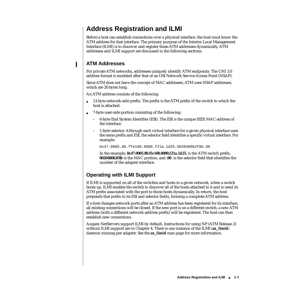# <span id="page-20-0"></span>**Address Registration and ILMI**

Before a host can establish connections over a physical interface, the host must know the ATM address for that interface. The primary purpose of the Interim Local Management Interface (ILMI) is to discover and register these ATM addresses dynamically. ATM addresses and ILMI support are discussed in the following sections.

## **ATM Addresses**

For private ATM networks, addresses uniquely identify ATM endpoints. The UNI 3.0 address format is modeled after that of an OSI Network Service Access Point (NSAP).

Since ATM does not have the concept of MAC addresses, ATM uses NSAP addresses, which are 20 bytes long.

An ATM address consists of the following:

- 13-byte network-side prefix. The prefix is the ATM prefix of the switch to which the host is attached.
- ▲ 7-byte user-side portion consisting of the following:
	- 6-byte End System Identifier (ESI). The ESI is the unique IEEE MAC address of the interface.
	- 1-byte selector. Although each virtual interface for a given physical interface uses the same prefix and ESI, the selector field identifies a specific virtual interface. For example:

0x47.0005.80.ffe100.0000.f21a.1d25.002048062f8b.00

In the example, **0x47.0005.80.ffe100.0000.f21a.1d25.** is the ATM switch prefix, **002048062f8b** is the MAC portion, and **.00** is the selector field that identifies the number of the adapter interface.

## **Operating with ILMI Support**

If ILMI is supported on all of the switches and hosts in a given network, when a switch boots up, ILMI enables the switch to discover all of the hosts attached to it and to send its ATM prefix associated with the port to those hosts dynamically. In return, the host prepends that prefix to its ESI and selector fields, forming a complete ATM address.

If a host changes network ports after an ATM address has been registered for its interface, all existing connections will be closed. If the new port is on a different switch, a new ATM address (with a different network address prefix) will be registered. The host can then establish new connections.

Auspex NetServers support ILMI by default. Instructions for using NP (ATM Release 2) without ILMI support are in Chapter 4. There is one instance of the ILMI (**ax\_ilmid**) daemon running per adapter. See the **ax\_ilmid** man page for more information.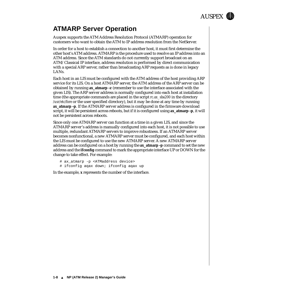

# <span id="page-21-0"></span>**ATMARP Server Operation**

Auspex supports the ATM Address Resolution Protocol (ATMARP) operation for customers who want to obtain the ATM to IP address resolution from the NetServer.

In order for a host to establish a connection to another host, it must first determine the other host's ATM address. ATMARP is the procedure used to resolve an IP address into an ATM address. Since the ATM standards do not currently support broadcast on an ATM/Classical IP interface, address resolution is performed by direct communication with a special ARP server, rather than broadcasting ARP requests as is done in legacy LANs.

Each host in an LIS must be configured with the ATM address of the host providing ARP service for its LIS. On a host ATMARP server, the ATM address of the ARP server can be obtained by running **ax\_atmarp -z** (remember to use the interface associated with the given LIS). The ARP server address is normally configured into each host at installation time (the appropriate commands are placed in the script *rc.ax\_sba200* in the directory */usr/etc/fore* or the user specified directory), but it may be done at any time by running **ax\_atmarp -p**. If the ATMARP server address is configured in the firmware download script, it will be persistent across reboots, but if it is configured using **ax\_atmarp -p**, it will not be persistent across reboots.

Since only one ATMARP server can function at a time in a given LIS, and since the ATMARP server's address is manually configured into each host, it is not possible to use multiple, redundant ATMARP servers to improve robustness. If an ATMARP server becomes nonfunctional, a new ATMARP server must be configured, and each host within the LIS must be configured to use the new ATMARP server. A new ATMARP server address can be configured on a host by running the **ax\_atmarp -p** command to set the new address and the **ifconfig** command to mark the appropriate interface UP or DOWN for the change to take effect. For example:

# ax\_atmarp -p <ATMaddress device> # ifconfig aqax down; ifconfig aqax up

In the example, **x** represents the number of the interface.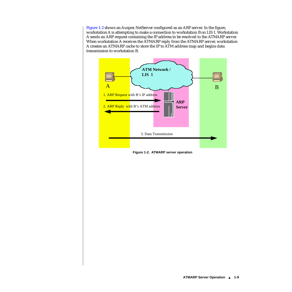<span id="page-22-0"></span>Figure 1-2 shows an Auspex NetServer configured as an ARP server. In the figure, workstation A is attempting to make a connection to workstation B on LIS 1. Workstation A sends an ARP request containing the IP address to be resolved to the ATMARP server. When workstation A receives the ATMARP reply from the ATMARP server, workstation A creates an ATMARP cache to store the IP to ATM address map and begins data transmission to workstation B.



**Figure 1-2. ATMARP server operation**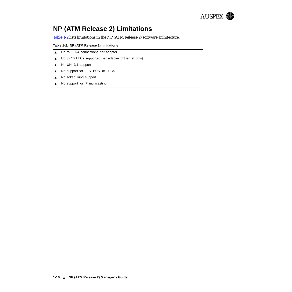

# <span id="page-23-0"></span>**NP (ATM Release 2) Limitations**

Table 1-2 lists limitations in the NP (ATM Release 2) software architecture.

#### **Table 1-2. NP (ATM Release 2) limitations**

- ▲ Up to 1,024 connections per adapter
- ▲ Up to 16 LECs supported per adapter (Ethernet only)
- ▲ No UNI 3.1 support
- ▲ No support for LES, BUS, or LECS
- ▲ No Token Ring support
- ▲ No support for IP multicasting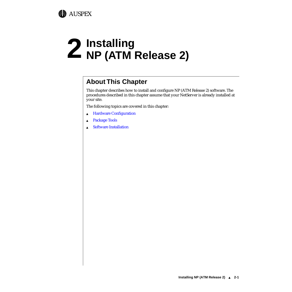<span id="page-24-0"></span>

# **2 Installing NP (ATM Release 2)**

## **About This Chapter**

This chapter describes how to install and configure NP (ATM Release 2) software. The procedures described in this chapter assume that your NetServer is already installed at your site.

The following topics are covered in this chapter:

- ▲ [Hardware Configuration](#page-25-0)
- ▲ [Package Tools](#page-26-0)
- ▲ [Software Installation](#page-27-0)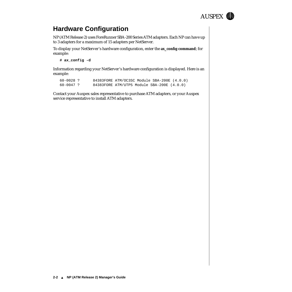

# <span id="page-25-0"></span>**Hardware Configuration**

NP (ATM Release 2) uses ForeRunner SBA-200 Series ATM adapters. Each NP can have up to 3 adapters for a maximum of 15 adapters per NetServer.

To display your NetServer's hardware configuration, enter the **ax\_config command**; for example:

```
# ax_config -d
```
Information regarding your NetServer's hardware configuration is displayed. Here is an example:

60-0028 ? 84383FORE ATM/OC3SC Module SBA-200E (4.0.0) 60-0047 ? 84383FORE ATM/UTP5 Module SBA-200E (4.0.0)

Contact your Auspex sales representative to purchase ATM adapters, or your Auspex service representative to install ATM adapters.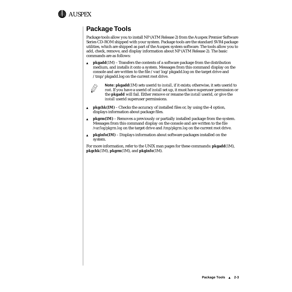<span id="page-26-0"></span>

# **Package Tools**

Package tools allow you to install NP (ATM Release 2) from the Auspex Premier Software Series CD-ROM shipped with your system. Package tools are the standard SVR4 package utilities, which are shipped as part of the Auspex system software. The tools allow you to add, check, remove, and display information about NP (ATM Release 2). The basic commands are as follows:

▲ **pkgadd**(1M) – Transfers the contents of a software package from the distribution medium, and installs it onto a system. Messages from this command display on the console and are written to the file /var/log/pkgadd.log on the target drive and /tmp/pkgadd.log on the current root drive.



**Note: pkgadd**(1M) sets userid to *install*, if it exists; otherwise, it sets userid to *root*. If you have a userid of *install* set up, it must have superuser permission or the **pkgadd** will fail. Either remove or rename the *install* userid, or give the *install* userid superuser permissions.

- ▲ **pkgchk(1M)** Checks the accuracy of installed files or, by using the **-l** option, displays information about package files.
- ▲ **pkgrm(1M)** Removes a previously or partially installed package from the system. Messages from this command display on the console and are written to the file */var/log/pkgrm.log* on the target drive and */tmp/pkgrm.log* on the current root drive.
- ▲ **pkginfo(1M)** Displays information about software packages installed on the system.

For more information, refer to the UNIX man pages for these commands: **pkgadd**(1M), **pkgchk**(1M), **pkgrm**(1M), and **pkginfo**(1M).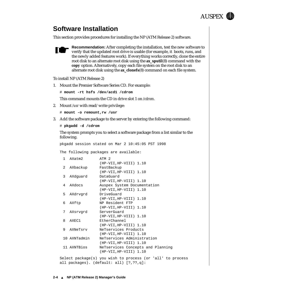

## <span id="page-27-0"></span>**Software Installation**

This section provides procedures for installing the NP (ATM Release 2) software.



**Recommendation:** After completing the installation, test the new software to verify that the updated root drive is usable (for example, it boots, runs, and the newly added features work). If everything works correctly, clone the entire root disk to an alternate root disk using the **ax\_sputil**(8) command with the **copy** option. Alternatively, copy each file system on the root disk to an alternate root disk using the **ax\_clonefs**(8) command on each file system.

To install NP (ATM Release 2)

1. Mount the Premier Software Series CD. For example:

# **mount -rt hsfs /dev/acd1 /cdrom**

This command mounts the CD in drive slot 1 on */cdrom*.

2. Mount */usr* with read/write privilege:

```
# mount -o remount,rw /usr
```
3. Add the software package to the server by entering the following command:

```
# pkgadd -d /cdrom
```
The system prompts you to select a software package from a list similar to the following.

pkgadd session stated on Mar 2 10:45:05 PST 1998

The following packages are available:

| $\mathbf{1}$ | AXatm2       | ATM <sub>2</sub>                                                                                                                                                                                                               |
|--------------|--------------|--------------------------------------------------------------------------------------------------------------------------------------------------------------------------------------------------------------------------------|
|              |              | (HP-VII, HP-VIII) 1.10                                                                                                                                                                                                         |
| 2            | AXbackup     | FastBackup                                                                                                                                                                                                                     |
|              |              | (HP-VII, HP-VIII) 1.10                                                                                                                                                                                                         |
| 3            | AXdquard     | DataGuard                                                                                                                                                                                                                      |
|              |              | (HP-VII, HP-VIII) 1.10                                                                                                                                                                                                         |
| 4            | AXdocs       | Auspex System Documentation                                                                                                                                                                                                    |
|              |              | (HP-VII, HP-VIII) 1.10                                                                                                                                                                                                         |
| 5            | AXdrvgrd     | DriveGuard                                                                                                                                                                                                                     |
|              |              | (HP-VII, HP-VIII) 1.10                                                                                                                                                                                                         |
| 6            | AXftp        | NP Resident FTP                                                                                                                                                                                                                |
|              |              | (HP-VII, HP-VIII) 1.10                                                                                                                                                                                                         |
| 7            | AXsrvqrd     | ServerGuard                                                                                                                                                                                                                    |
|              |              | (HP-VII, HP-VIII) 1.10                                                                                                                                                                                                         |
| 8            | AXEC1        | EtherChannel                                                                                                                                                                                                                   |
|              |              | (HP-VII, HP-VIII) 1.10                                                                                                                                                                                                         |
| 9            | AXNeTsrv     | NeTservices Products                                                                                                                                                                                                           |
|              |              | (HP-VII, HP-VIII) 1.10                                                                                                                                                                                                         |
|              | 10 AXNTadmin | NeTservices Administration                                                                                                                                                                                                     |
|              |              | (HP-VII, HP-VIII) 1.10                                                                                                                                                                                                         |
|              | 11 AXNTBios  | NeTservices Concepts and Planning                                                                                                                                                                                              |
|              |              | (HP-VII, HP-VIII) 1.10                                                                                                                                                                                                         |
|              |              | . The subject of the second control of the control of the second of the second of the second second second second second second second second second second second second second second second second second second second sec |

Select package(s) you wish to process (or 'all' to process all packages). (default: all) [?,??,q]: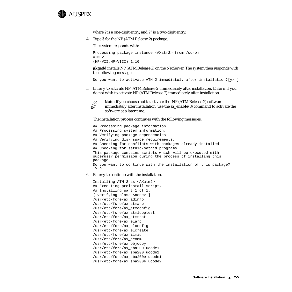

where ? is a one-digit entry, and ?? is a two-digit entry.

4. Type **3** for the NP (ATM Release 2) package.

The system responds with:

```
Processing package instance <AXatm2> from /cdrom
ATM 2
(HP-VII,HP-VIII) 1.10
```
**pkgadd** installs NP (ATM Release 2) on the NetServer. The system then responds with the following message:

Do you want to activate ATM 2 immediately after installation? $[y/n]$ 

5. Enter **y** to activate NP (ATM Release 2) immediately after installation. Enter **n** if you do not wish to activate NP (ATM Release 2) immediately after installation.



**Note:** If you choose not to activate the NP (ATM Release 2) software immediately after installation, use the **ax\_enable**(8) command to activate the software at a later time.

The installation process continues with the following messages:

```
## Processing package information.
## Processing system information.
## Verifying package dependencies.
## Verifying disk space requirements.
## Checking for conflicts with packages already installed.
## Checking for setuid/setgid programs.
This package contains scripts which will be executed with 
superuser permission during the process of installing this 
package.
Do you want to continue with the installation of this package?
[y,n]
```
#### 6. Enter **y** to continue with the installation.

```
Installing ATM 2 as <AXatm2>
## Executing preinstall script.
## Installing part 1 of 1.
[ verifying class <none> ]
/usr/etc/fore/ax_adinfo
/usr/etc/fore/ax_atmarp
/usr/etc/fore/ax_atmconfig
/usr/etc/fore/ax_atmlooptest
/usr/etc/fore/ax_atmstat
/usr/etc/fore/ax_elarp
/usr/etc/fore/ax_elconfig
/usr/etc/fore/ax_elcreate
/usr/etc/fore/ax_ilmid
/usr/etc/fore/ax_ncomm
/usr/etc/fore/ax_objcopy
/usr/etc/fore/ax_sba200.ucode1
/usr/etc/fore/ax_sba200.ucode2
/usr/etc/fore/ax_sba200e.ucode1
/usr/etc/fore/ax_sba200e.ucode2
```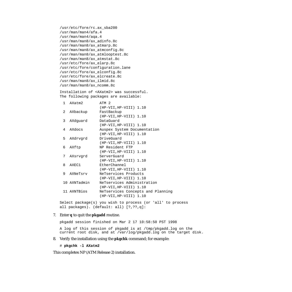```
/usr/etc/fore/rc.ax_sba200
/usr/man/man4/afa.4
/usr/man/man4/aqa.4
/usr/man/man8/ax_adinfo.8c
/usr/man/man8/ax_atmarp.8c
/usr/man/man8/ax_atmconfig.8c
/usr/man/man8/ax_atmlooptest.8c
/usr/man/man8/ax_atmstat.8c
/usr/etc/fore/ax_elarp.8c
/usr/etc/fore/configuration.lane
/usr/etc/fore/ax_elconfig.8c
/usr/etc/fore/ax_elcreate.8c
/usr/man/man8/ax_ilmid.8c
/usr/man/man8/ax_ncomm.8c
```
Installation of <AXatm2> was successful. The following packages are available:

| 1             | AXatm2       | ATM <sub>2</sub>                                           |
|---------------|--------------|------------------------------------------------------------|
|               |              | (HP-VII, HP-VIII) 1.10                                     |
| $\mathcal{L}$ | AXbackup     | FastBackup                                                 |
|               |              | (HP-VII, HP-VIII) 1.10                                     |
| 3             | AXdquard     | DataGuard                                                  |
|               |              | (HP-VII, HP-VIII) 1.10                                     |
| 4             | AXdocs       | Auspex System Documentation                                |
|               |              | (HP-VII, HP-VIII) 1.10                                     |
| 5             | AXdrvgrd     | DriveGuard                                                 |
|               |              | (HP-VII, HP-VIII) 1.10                                     |
| 6             | AXftp        | NP Resident FTP                                            |
|               |              | (HP-VII, HP-VIII) 1.10                                     |
| 7             | AXsrvqrd     | ServerGuard                                                |
|               |              | (HP-VII, HP-VIII) 1.10                                     |
| 8             | AXEC1        | EtherChannel                                               |
|               |              | (HP-VII, HP-VIII) 1.10                                     |
| 9             | AXNeTsrv     | NeTservices Products                                       |
|               |              | (HP-VII, HP-VIII) 1.10                                     |
|               | 10 AXNTadmin | NeTservices Administration                                 |
|               |              | (HP-VII, HP-VIII) 1.10                                     |
|               | 11 AXNTBios  | NeTservices Concepts and Planning                          |
|               |              | (HP-VII, HP-VIII) 1.10                                     |
|               |              | Select package(s) you wish to process (or 'all' to process |

all packages). (default: all) [?,??,q]:

#### 7. Enter **q** to quit the **pkgadd** routine.

pkgadd session finished on Mar 2 17 10:58:50 PST 1998

A log of this session of pkgadd is at /tmp/pkgadd.log on the current root disk, and at /var/log/pkgadd.log on the target disk.

#### 8. Verify the installation using the **pkgchk** command; for example:

# **pkgchk -l AXatm2**

This completes NP (ATM Release 2) installation.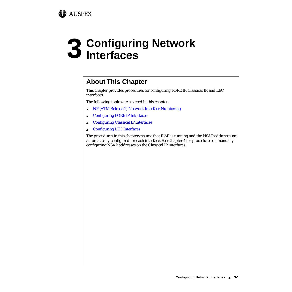<span id="page-30-0"></span>

# **3 Configuring Network Interfaces**

## **About This Chapter**

This chapter provides procedures for configuring FORE IP, Classical IP, and LEC interfaces.

The following topics are covered in this chapter:

- ▲ [NP \(ATM Release 2\) Network Interface Numbering](#page-31-0)
- ▲ [Configuring FORE IP Interfaces](#page-32-0)
- ▲ [Configuring Classical IP Interfaces](#page-33-0)
- ▲ [Configuring LEC Interfaces](#page-34-0)

The procedures in this chapter assume that ILMI is running and the NSAP addresses are automatically configured for each interface. See Chapter 4 for procedures on manually configuring NSAP addresses on the Classical IP interfaces.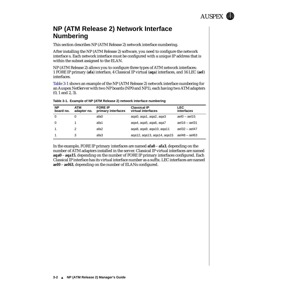

# <span id="page-31-0"></span>**NP (ATM Release 2) Network Interface Numbering**

This section describes NP (ATM Release 2) network interface numbering.

After installing the NP (ATM Release 2) software, you need to configure the network interface s. Each network interface must be configured with a unique IP address that is within the subnet assigned to the ELAN.

NP (ATM Release 2) allows you to configure three types of ATM network interfaces: 1 FORE IP primary (**afa**) interface, 4 Classical IP virtual (**aqa**) interfaces, and 16 LEC (**ael**) interfaces.

Table 3-1 shows an example of the NP (ATM Release 2) network interface numbering for an Auspex NetServer with two NP boards (NP0 and NP1), each having two ATM adapters (0, 1 and 2, 3).

| <b>NP</b><br>board no. | <b>ATM</b><br>adapter no. | <b>FORE IP</b><br>primary interfaces | <b>Classical IP</b><br>virtual interfaces | LEC<br>interfaces   |
|------------------------|---------------------------|--------------------------------------|-------------------------------------------|---------------------|
| 0                      | O                         | afa0                                 | aga0, aga1, aga2, aga3                    | $ael0 - ael15$      |
| 0                      |                           | afa1                                 | aga4, aga5, aga6, aga7                    | ael $16 -$ ael $31$ |
|                        |                           | afa2                                 | aga $8$ , aga $9$ , aga $10$ , aga $11$   | ael $32 -$ ael $47$ |
|                        | 3                         | afa3                                 | aga12, aga13, aga14, aga15                | ael $48 -$ ael $63$ |

|  | Table 3-1. Example of NP (ATM Release 2) network interface numbering |  |
|--|----------------------------------------------------------------------|--|
|  |                                                                      |  |

In the example, FORE IP primary interfaces are named **afa0** – **afa3**, depending on the number of ATM adapters installed in the server. Classical IP virtual interfaces are named **aqa0** – **aqa15**, depending on the number of FORE IP primary interfaces configured. Each Classical IP interface has its virtual interface number as a suffix. LEC interfaces are named **ael0** – **ael63**, depending on the number of ELANs configured.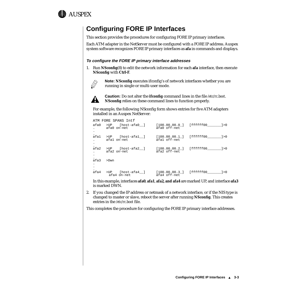<span id="page-32-0"></span>

## **Configuring FORE IP Interfaces**

This section provides the procedures for configuring FORE IP primary interfaces.

Each ATM adapter in the NetServer must be configured with a FORE IP address. Auspex system software recognizes FORE IP primary interfaces as **afa** in commands and displays.

#### **To configure the FORE IP primary interface addresses**

1. Run **NSconfig**(8) to edit the network information for each **afa** interface, then execute **NSconfig** with **Ctrl-F**.



**Note: NSconfig** executes ifconfig's of network interfaces whether you are running in single or multi-user mode.



**Caution:** Do not alter the **ifconfig** command lines in the file */etc/rc.boot*. **NSconfig** relies on these command lines to function properly.

For example, the following NSconfig form shows entries for five ATM adapters installed in an Auspex NetServer:

```
ATM FORE SPANS Intf
afa0 >UP [host-afa0__] [100.00.00.0_] [ffffff00_______]>0
. afa0 on-net afa0 off-net
.
afal >UP
afa1 >UP [host-afa1__] [100.00.00.1_] [ffffff00_______]>0
. afa1 on-net afa1 off-net
.
afa2 >UP
afa2 >UP [host-afa2__] [100.00.00.2_] [ffffff00_______]>0
. afa2 on-net afa2 off-net
.
.
afa3 >Dwn
.
.
.
afa4 >UP [host-afa4__] [100.00.00.3_] [ffffff00_______]>0
 afa4 on-net afa4 off-net
```
In this example, interfaces **afa0**, **afa1**, **afa2, and afa4** are marked UP, and interface **afa3** is marked DWN.

2. If you changed the IP address or netmask of a network interface, or if the NIS type is changed to master or slave, reboot the server after running **NSconfig**. This creates entries in the */etc/rc.boot* file.

This completes the procedure for configuring the FORE IP primary interface addresses.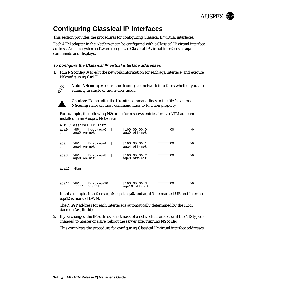

# <span id="page-33-0"></span>**Configuring Classical IP Interfaces**

This section provides the procedures for configuring Classical IP virtual interfaces.

Each ATM adapter in the NetServer can be configured with a Classical IP virtual interface address. Auspex system software recognizes Classical IP virtual interfaces as **aqa** in commands and displays.

#### **To configure the Classical IP virtual interface addresses**

1. Run **NSconfig**(8) to edit the network information for each **aqa** interface, and execute NSconfig using **Ctrl-F**.



**Note: NSconfig** executes the ifconfig's of network interfaces whether you are running in single or multi-user mode.



**Caution:** Do not alter the **ifconfig** command lines in the file */etc/rc.boot*. **NSconfig** relies on these command lines to function properly.

For example, the following NSconfig form shows entries for five ATM adapters installed in an Auspex NetServer:

|                                                     | ATM Classical IP Intf                        |               |                                    |
|-----------------------------------------------------|----------------------------------------------|---------------|------------------------------------|
| $\bullet$<br>$\bullet$                              | aqa0 >UP [host-aqa0_]<br>. aga0 on-net       | aga0 off-net  | $[100.00.00.0]$ $[effff00$ $] > 0$ |
| $\mathbf{A}$ and $\mathbf{A}$                       | aqa4 >UP [host-aqa4_]<br>aga4 on-net         | aga4 off-net  | $[100.00.00.1]$ $[effff00$ $] > 0$ |
| $\mathbf{L}^{\text{max}}$<br>$\bullet$<br>$\bullet$ | aqa8 >UP [host-aqa8_]<br>aga8 on-net         | aga8 off-net  | $[100.00.00.2]$ $[effff00$ $] > 0$ |
| aga12 >Dwn<br>$\bullet$                             |                                              |               |                                    |
|                                                     | $aqa16$ >UP [ $host-aqa16$ ]<br>aga16 on-net | aga16 off-net | [100.00.00.3 ] [ffffff00<br>1 > 0  |

In this example, interfaces **aqa0**, **aqa4**, **aqa8, and aqa16** are marked UP, and interface **aqa12** is marked DWN.

The NSAP address for each interface is automatically determined by the ILMI daemon (**ax\_ilmid**).

2. If you changed the IP address or netmask of a network interface, or if the NIS type is changed to master or slave, reboot the server after running **NSconfig.** 

This completes the procedure for configuring Classical IP virtual interface addresses.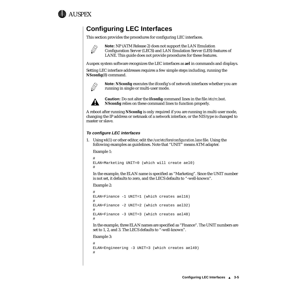<span id="page-34-0"></span>

## **Configuring LEC Interfaces**

This section provides the procedures for configuring LEC interfaces.



**Note:** NP (ATM Release 2) does not support the LAN Emulation Configuration Server (LECS) and LAN Emulation Server (LES) features of LANE. This guide does not provide procedures for these features.

Auspex system software recognizes the LEC interfaces as **ael** in commands and displays.

Setting LEC interface addresses requires a few simple steps including, running the **NSconfig**(8) command.



**Note: NSconfig** executes the ifconfig's of network interfaces whether you are running in single or multi-user mode.



**Caution:** Do not alter the **ifconfig** command lines in the file */etc/rc.boot*. **NSconfig** relies on these command lines to function properly.

A reboot after running **NSconfig** is only required if you are running in multi-user mode, changing the IP address or netmask of a network interface, or the NIS type is changed to master or slave.

### **To configure LEC interfaces**

1. Using **vi**(1) or other editor, edit the */usr/etc/fore/configuration.lane* file*.* Using the following examples as guidelines. Note that "UNIT" means ATM adapter.

Example 1:

```
#
ELAN=Marketing UNIT=0 (which will create ael0)
#
```
In the example, the ELAN name is specified as "Marketing". Since the UNIT number is not set, it defaults to zero, and the LECS defaults to "-well-known".

Example 2:

```
#
ELAN=Finance -1 UNIT=1 (which creates ael16)
#
ELAN=Finance -2 UNIT=2 (which creates ael32)
#
ELAN=Finance -3 UNIT=3 (which creates ael48)
#
```
In the example, three ELAN names are specified as "Finance". The UNIT numbers are set to 1, 2, and 3. The LECS defaults to "-well-known".

Example 3:

```
#
ELAN=Engineering -3 UNIT=3 (which creates ael49)
#
```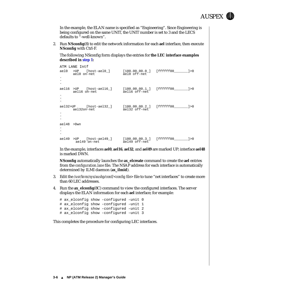**AUSPEX NV** 

In the example, the ELAN name is specified as "Engineering". Since Engineering is being configured on the same UNIT, the UNIT number is set to 3 and the LECS defaults to "-well-known".

2. Run **NSconfig**(8) to edit the network information for each **ael** interface, then execute **NSconfig** with Ctrl-F.

The following NSconfig form displays the entries for **the LEC interface examples described in [step 1:](#page-34-0)**

```
ATM LANE Intf
a = 10 >UP [host-ael0_] [100.00.00.0_] [ffffff00_________]>0<br>ael0 on-net ael0 off-net
     ael0 on-net
.
.
ael16 >UP [host-ael16_] [100.00.00.1_] [ffffff00_______]>0
ael16 on-net ael16 off-net .
.
.
ael32>UP [host-ael32_] [100.00.00.2_] [ffffff00_______]>0
ael32on-net ael32 off-net .
.
.
ael48 >Dwn
.
.
.
ael49 >UP [host-ael49_] [100.00.00.3_] [ffffff00_______]>0
 ael49 on-net ael49 off-net
```
In the example, interfaces **ael0**, **ael16**, **ael32**, and **ael49** are marked UP; interface **ael48** is marked DWN.

**NSconfig** automatically launches the **ax\_elcreate** command to create the **ael** entries from the *configuration.lane* file. The NSAP address for each interface is automatically determined by ILMI daemon (**ax\_ilmid**).

- 3. Edit the */usr/kvm/sys/aushp/conf/<config file>* file to tune "net interfaces" to create more than 60 LEC addresses.
- 4. Run the **ax\_elconfig**(8C) command to view the configured interfaces. The server displays the ELAN information for each **ael** interface; for example:

# ax elconfig show -configured -unit 0 # ax\_elconfig show -configured -unit 1 # ax\_elconfig show -configured -unit 2 # ax\_elconfig show -configured -unit 3

This completes the procedure for configuring LEC interfaces.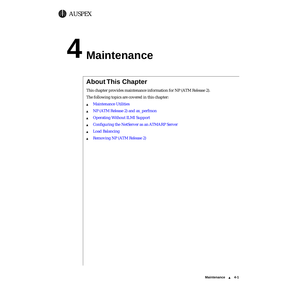<span id="page-36-0"></span>

# **4 Maintenance**

## **About This Chapter**

This chapter provides maintenance information for NP (ATM Release 2).

The following topics are covered in this chapter:

- ▲ [Maintenance Utilities](#page-37-0)
- ▲ [NP \(ATM Release 2\) and ax\\_perfmon](#page-39-0)
- ▲ [Operating Without ILMI Support](#page-40-0)
- ▲ [Configuring the NetServer as an ATMARP Server](#page-41-0)
- ▲ [Load Balancing](#page-41-0)
- ▲ [Removing NP \(ATM Release 2\)](#page-42-0)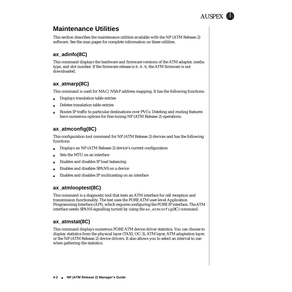

# <span id="page-37-0"></span>**Maintenance Utilities**

This section describes the maintenance utilities available with the NP (ATM Release 2) software. See the man pages for complete information on these utilities.

## **ax\_adinfo(8C)**

This command displays the hardware and firmware versions of the ATM adapter, media type, and slot number. If the firmware release is 0.0.0, the ATM firmware is not downloaded.

## **ax\_atmarp(8C)**

This command is used for MAC/NSAP address mapping. It has the following functions:

- ▲ Displays translation table entries
- Deletes translation table entries
- Routes IP traffic to particular destinations over PVCs. Deleting and routing features have numerous options for fine-tuning NP (ATM Release 2) operations.

## **ax\_atmconfig(8C)**

This configuration tool command for NP (ATM Release 2) devices and has the following functions:

- ▲ Displays an NP (ATM Release 2) device's current configuration
- Sets the MTU on an interface
- Enables and disables IP load balancing
- ▲ Enables and disables SPANS on a device
- Enables and disables IP multicasting on an interface

### **ax\_atmlooptest(8C)**

This command is a diagnostic tool that tests an ATM interface for cell reception and transmission functionality. The test uses the FORE ATM user-level Application Programming Interface (API), which requires configuring the FORE IP interface. The ATM interface needs SPANS signalling turned by using the  $ax \text{ atmconfi}(8C)$  command.

### **ax\_atmstat(8C)**

This command displays numerous FORE ATM device driver statistics. You can choose to display statistics from the physical layer (TAXI, OC-3), ATM layer, ATM adaptation layer, or the NP (ATM Release 2) device drivers. It also allows you to select an interval to use when gathering the statistics.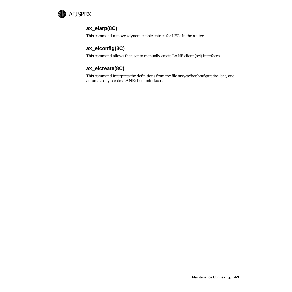# <span id="page-38-0"></span>AUSPEX

## **ax\_elarp(8C)**

This command removes dynamic table entries for LECs in the router.

## **ax\_elconfig(8C)**

This command allows the user to manually create LANE client (ael) interfaces.

## **ax\_elcreate(8C)**

This command interprets the definitions from the file */usr/etc/fore/configuration.lane*, and automatically creates LANE client interfaces.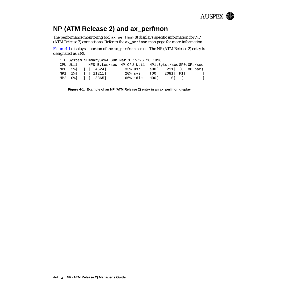

## <span id="page-39-0"></span>**NP (ATM Release 2) and ax\_perfmon**

The performance monitoring tool ax\_perfmon(8) displays specific information for NP (ATM Release 2) connections. Refer to the ax\_perfmon man page for more information.

Figure 4-1 displays a portion of the ax\_perfmon screen. The NP (ATM Release 2) entry is designated as a00.

|  |  | 1.0 System SummarySrvA Sun Mar 1 15:26:20 1998              |  |                    |  |                |
|--|--|-------------------------------------------------------------|--|--------------------|--|----------------|
|  |  | CPU Util MFS Bytes/sec HP CPU Util NP1:Bytes/secSP0:OPs/sec |  |                    |  |                |
|  |  | NP0 2%[ ] [ 4524] 33% usr a00[ 211] (0~80 bar)              |  |                    |  |                |
|  |  | NP1 1%   11211                                              |  |                    |  | $\blacksquare$ |
|  |  | NP2 0% 1 [ 3365]                                            |  | 66% idle H00[ 0] [ |  | - 1            |

**Figure 4-1. Example of an NP (ATM Release 2) entry in an ax\_perfmon display**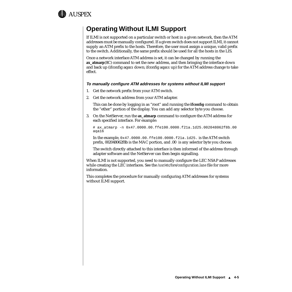<span id="page-40-0"></span>

## **Operating Without ILMI Support**

If ILMI is not supported on a particular switch or host in a given network, then the ATM addresses must be manually configured. If a given switch does not support ILMI, it cannot supply an ATM prefix to the hosts. Therefore, the user must assign a unique, valid prefix to the switch. Additionally, the same prefix should be used for all the hosts in the LIS.

Once a network interface ATM address is set, it can be changed by running the **ax\_atmarp**(8C) command to set the new address, and then bringing the interface down and back up (ifconfig aqa*xx* down; ifconfig aqa*xx* up) for the ATM address change to take effect.

#### **To manually configure ATM addresses for systems without ILMI support**

- 1. Get the network prefix from your ATM switch.
- 2. Get the network address from your ATM adapter.

This can be done by logging in as "root" and running the **ifconfig** command to obtain the "ether" portion of the display. You can add any selector byte you choose.

3. On the NetServer, run the **ax\_atmarp** command to configure the ATM address for each specified interface. For example:

# ax\_atmarp -n 0x47.0000.00.ffe100.0000.f21a.1d25.002048062f8b.00 aqa16

In the example, 0x47.0000.00.ffe100.0000.f21a.1d25. is the ATM switch prefix, 002048062f8b is the MAC portion, and .00 is any selector byte you choose.

The switch directly attached to this interface is then informed of the address through adapter software and the NetServer can then begin signalling.

When ILMI is not supported, you need to manually configure the LEC NSAP addresses while creating the LEC interfaces. See the */usr/etc/fore/configuration.lane* file for more information.

This completes the procedure for manually configuring ATM addresses for systems without ILMI support.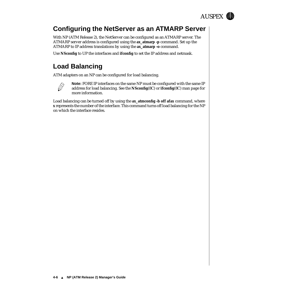

# <span id="page-41-0"></span>**Configuring the NetServer as an ATMARP Server**

With NP (ATM Release 2), the NetServer can be configured as an ATMARP server. The ATMARP server address is configured using the **ax\_atmarp -p** command. Set up the ATMARP to IP address translations by using the **ax\_atmarp -o** command.

Use **NSconfig** to UP the interfaces and **ifconfig** to set the IP address and netmask.

# **Load Balancing**

ATM adapters on an NP can be configured for load balancing.



**Note:** FORE IP interfaces on the same NP must be configured with the same IP address for load balancing. See the **NSconfig**(8C) or **ifconfig**(8C) man page for more information.

Load balancing can be turned off by using the **ax\_atmconfig -b off afa***x* command, where **x** represents the number of the interface. This command turns off load balancing for the NP on which the interface resides.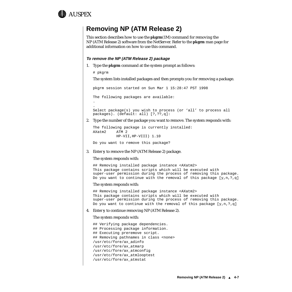<span id="page-42-0"></span>

## **Removing NP (ATM Release 2)**

This section describes how to use the **pkgrm**(1M) command for removing the NP (ATM Release 2) software from the NetServer. Refer to the **pkgrm** man page for additional information on how to use this command.

#### **To remove the NP (ATM Release 2) package**

- 1. Type the **pkgrm** command at the system prompt as follows:
	- # pkgrm

The system lists installed packages and then prompts you for removing a package.

pkgrm session started on Sun Mar 1 15:28:47 PST 1998 The following packages are available: . . Select package(s) you wish to process (or 'all' to process all packages). (default: all) [?,??,q]:

2. Type the number of the package you want to remove. The system responds with:

```
The following package is currently installed:
AXatm2 ATM 2
          HP-VII,HP-VIII) 1.10
```
Do you want to remove this package?

3. Enter **y** to remove the NP (ATM Release 2) package.

#### The system responds with:

## Removing installed package instance <AXatm2> This package contains scripts which will be executed with super-user permission during the process of removing this package. Do you want to continue with the removal of this package [y,n,?,q]

#### The system responds with:

## Removing installed package instance <AXatm2> This package contains scripts which will be executed with super-user permission during the process of removing this package. Do you want to continue with the removal of this package  $[y,n,?,q]$ 

4. Enter **y** to continue removing NP (ATM Release 2).

The system responds with:

```
## Verifying package dependencies.
## Processing package information.
## Executing preremove script.
## Removing pathnames in class <none>
/usr/etc/fore/ax_adinfo
/usr/etc/fore/ax_atmarp
/usr/etc/fore/ax_atmconfig
/usr/etc/fore/ax_atmlooptest
/usr/etc/fore/ax_atmstat
```